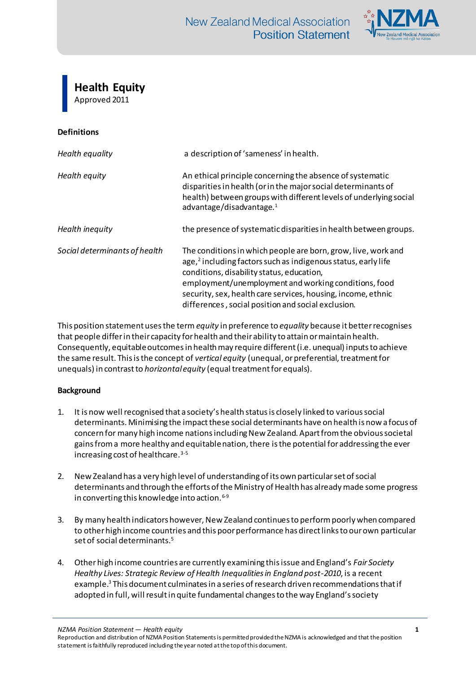

# **Health Equity**

Approved 2011

# **Definitions**

| Health equality               | a description of 'sameness' in health.                                                                                                                                                                                                                                                                                                                                |
|-------------------------------|-----------------------------------------------------------------------------------------------------------------------------------------------------------------------------------------------------------------------------------------------------------------------------------------------------------------------------------------------------------------------|
| Health equity                 | An ethical principle concerning the absence of systematic<br>disparities in health (or in the major social determinants of<br>health) between groups with different levels of underlying social<br>advantage/disadvantage. <sup>1</sup>                                                                                                                               |
| Health inequity               | the presence of systematic disparities in health between groups.                                                                                                                                                                                                                                                                                                      |
| Social determinants of health | The conditions in which people are born, grow, live, work and<br>age, <sup>2</sup> including factors such as indigenous status, early life<br>conditions, disability status, education,<br>employment/unemployment and working conditions, food<br>security, sex, health care services, housing, income, ethnic<br>differences, social position and social exclusion. |

This position statement uses the term *equity* in preference to *equality* because it better recognises that people differ in their capacity for health and their ability to attain or maintain health. Consequently, equitable outcomes in health may require different (i.e. unequal) inputs to achieve the same result. This is the concept of *vertical equity* (unequal, or preferential, treatment for unequals) in contrast to *horizontal equity* (equal treatment for equals).

#### **Background**

- 1. It is now well recognised that a society's health status is closely linked to various social determinants. Minimising the impact these social determinants have on health is now a focus of concern for many high income nations including New Zealand. Apart from the obvious societal gains from a more healthy and equitable nation, there is the potential for addressing the ever increasing cost of healthcare.<sup>3-5</sup>
- 2. New Zealand has a very high level of understanding of its own particular set of social determinants and through the efforts of the Ministry of Health has already made some progress in converting this knowledge into action.<sup>6-9</sup>
- 3. By many health indicators however, New Zealand continues to perform poorly when compared to other high income countries and this poor performance has direct links to our own particular set of social determinants.<sup>5</sup>
- 4. Other high income countries are currently examining this issue and England's *Fair Society Healthy Lives: Strategic Review of Health Inequalities in England post-2010*, is a recent example.<sup>3</sup> This document culminates in a series of research driven recommendations that if adopted in full, will result in quite fundamental changes to the way England's society

*NZMA Position Statement — Health equity* **1**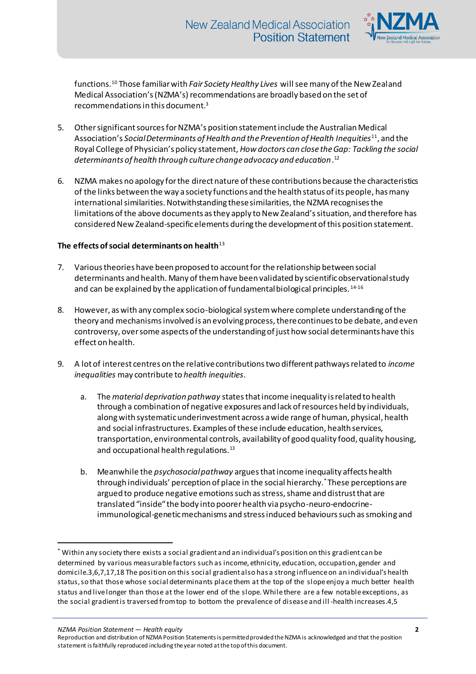

functions.<sup>10</sup> Those familiar with *Fair Society Healthy Lives* will see many of the New Zealand Medical Association's (NZMA's) recommendations are broadly based on the set of recommendations in this document.<sup>3</sup>

- 5. Other significant sources for NZMA's position statement include the Australian Medical Association's *Social Determinants of Health and the Prevention of Health Inequities*<sup>11</sup>, and the Royal College of Physician's policy statement, *How doctors can close the Gap: Tackling the social determinants of health through culture change advocacy and education*. 12
- 6. NZMA makes no apology for the direct nature of these contributions because the characteristics of the links between the way a society functions and the health status of its people, has many international similarities. Notwithstanding these similarities, the NZMA recognises the limitations of the above documents as they apply to New Zealand's situation, and therefore has considered New Zealand-specific elements during the development of this position statement.

#### **The effects of social determinants on health**<sup>13</sup>

- 7. Various theories have been proposed to account for the relationship between social determinants and health. Many of them have been validated by scientific observational study and can be explained by the application of fundamental biological principles.  $14-16$
- 8. However, as with any complex socio-biological system where complete understanding of the theory and mechanisms involved is an evolving process, there continues to be debate, and even controversy, over some aspects of the understanding of just how social determinants have this effect on health.
- 9. A lot of interest centres on the relative contributions two different pathways related to *income inequalities* may contribute to *health inequities*.
	- a. The *material deprivation pathway* states that income inequality is related to health through a combination of negative exposures and lack of resources held by individuals, along with systematic underinvestment across a wide range of human, physical, health and social infrastructures. Examples of these include education, health services, transportation, environmental controls, availability of good quality food, quality housing, and occupational health regulations.<sup>13</sup>
	- b. Meanwhile the *psychosocial pathway* argues that income inequality affects health through individuals' perception of place in the social hierarchy.\* These perceptions are argued to produce negative emotions such as stress, shame and distrust that are translated "inside" the body into poorer health via psycho-neuro-endocrineimmunological-genetic mechanisms and stress induced behaviours such as smoking and

*NZMA Position Statement — Health equity* **2**

 $\overline{a}$ 

<sup>\*</sup> Within any society there exists a social gradient and an individual's position on this gradient can be determined by various measurable factors such as income, ethnicity, education, occupation, gender and domicile.3,6,7,17,18 The position on this social gradient also has a strong influence on an individual's health status, so that those whose social determinants place them at the top of the slope enjoy a much better health status and live longer than those at the lower end of the slope. While there are a few notable exceptions, as the social gradient is traversed from top to bottom the prevalence of disease and ill -health increases.4,5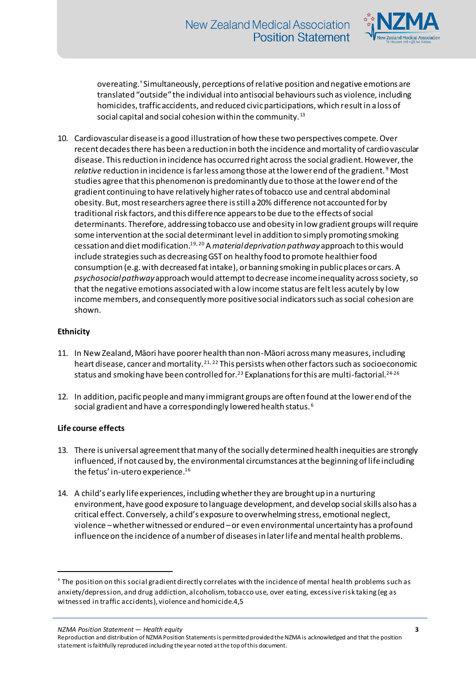

overeating.† Simultaneously, perceptions of relative position and negative emotions are translated "outside" the individual into antisocial behaviours such as violence, including homicides, traffic accidents, and reduced civic participations, which result in a loss of social capital and social cohesion within the community.<sup>13</sup>

10. Cardiovascular disease is a good illustration of how these two perspectives compete. Over recent decades there has been a reduction in both the incidence and mortality of cardiovascular disease. This reduction in incidence has occurred right across the social gradient. However, the *relative* reduction in incidence is far less among those at the lower end of the gradient. <sup>9</sup> Most studies agree that this phenomenon is predominantly due to those at the lower end of the gradient continuing to have relatively higher rates of tobacco use and central abdominal obesity. But, most researchers agree there is still a 20% difference not accounted for by traditional risk factors, and this difference appears to be due to the effects of social determinants. Therefore, addressing tobacco use and obesity in low gradient groups will require some intervention at the social determinant level in addition to simply promoting smoking cessation and diet modification.19, 20 A *material deprivation pathway* approach to this would include strategies such as decreasing GST on healthy food to promote healthier food consumption (e.g. with decreased fat intake), or banning smoking in public places or cars. A *psychosocial pathway*approach would attempt to decrease income inequality across society, so that the negative emotions associated with a low income status are felt less acutely by low income members, and consequently more positive social indicators such as social cohesion are shown.

#### **Ethnicity**

- 11. In New Zealand, Māori have poorer health than non-Māori across many measures, including heart disease, cancer and mortality.<sup>21, 22</sup> This persists when other factors such as socioeconomic status and smoking have been controlled for.<sup>23</sup> Explanations for this are multi-factorial.<sup>24-26</sup>
- 12. In addition, pacific people and many immigrant groups are often found at the lower end of the social gradient and have a correspondingly lowered health status.<sup>6</sup>

#### **Life course effects**

 $\overline{a}$ 

- 13. There is universal agreement that many of the socially determined health inequities are strongly influenced, if not caused by, the environmental circumstances at the beginning of life including the fetus' in-utero experience.<sup>16</sup>
- 14. A child's early life experiences, including whether they are brought up in a nurturing environment, have good exposure to language development, and develop social skills also has a critical effect. Conversely, a child's exposure to overwhelming stress, emotional neglect, violence –whether witnessed or endured –or even environmental uncertainty has a profound influence on the incidence of a number of diseases in later life and mental health problems.

*NZMA Position Statement — Health equity* **3**

<sup>†</sup> The position on this social gradient directly correlates with the incidence of mental health problems such as anxiety/depression, and drug addiction, alcoholism, tobacco use, over eating, excessive risk taking (eg as witnessed in traffic accidents), violence and homicide.4,5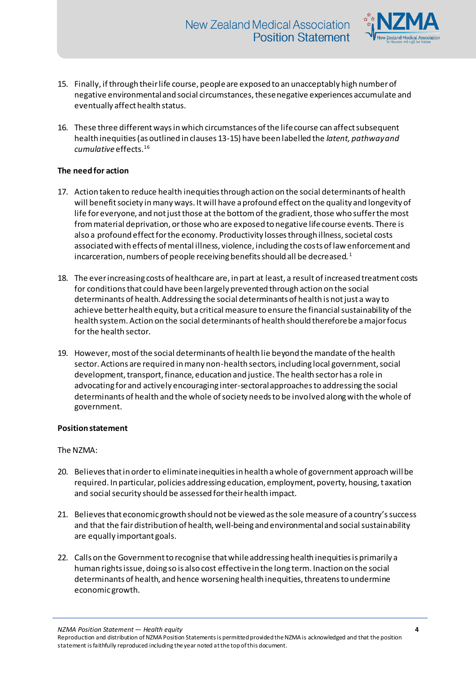

- 15. Finally, if through their life course, people are exposed to an unacceptably high number of negative environmental and social circumstances, these negative experiences accumulate and eventually affect health status.
- 16. These three different ways in which circumstances of the life course can affect subsequent health inequities (as outlined in clauses 13-15) have been labelled the *latent, pathway and cumulative* effects.<sup>16</sup>

## **The need for action**

- 17. Action taken to reduce health inequities through action on the social determinants of health will benefit society in many ways. It will have a profound effect on the quality and longevity of life for everyone, and not just those at the bottom of the gradient, those who suffer the most from material deprivation, or those who are exposed to negative life course events. There is also a profound effect for the economy. Productivity losses through illness, societal costs associated with effects of mental illness, violence, including the costs of law enforcement and incarceration, numbers of people receiving benefits should all be decreased.<sup>1</sup>
- 18. The ever increasing costs of healthcare are, in part at least, a result of increased treatment costs for conditions that could have been largely prevented through action on the social determinants of health. Addressing the social determinants of health is not just a way to achieve better health equity, but a critical measure to ensure the financial sustainability of the health system. Action on the social determinants of health should therefore be a major focus for the health sector.
- 19. However, most of the social determinants of health lie beyond the mandate of the health sector. Actions are required in many non-health sectors, including local government, social development, transport, finance, education and justice. The health sector has a role in advocating for and actively encouraging inter-sectoral approaches to addressing the social determinants of health and the whole of society needs to be involved along with the whole of government.

#### **Position statement**

The NZMA:

- 20. Believes that in order to eliminate inequities in health a whole of government approach will be required. In particular, policies addressing education, employment, poverty, housing, taxation and social security should be assessed for their health impact.
- 21. Believes that economic growth should not be viewed as the sole measure of a country's success and that the fair distribution of health, well-being and environmental and social sustainability are equally important goals.
- 22. Calls on the Government to recognise that while addressing health inequities is primarily a human rights issue, doing so is also cost effective in the long term. Inaction on the social determinants of health, and hence worsening health inequities, threatens to undermine economic growth.

*NZMA Position Statement — Health equity* **4**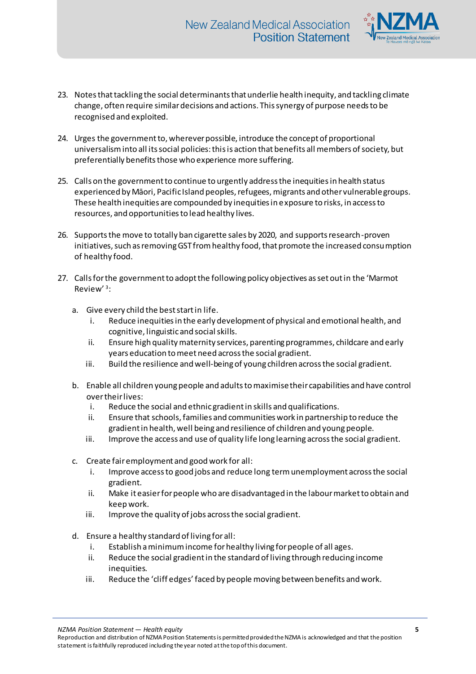

- 23. Notes that tackling the social determinants that underlie health inequity, and tackling climate change, often require similar decisions and actions. This synergy of purpose needs to be recognised and exploited.
- 24. Urges the government to, wherever possible, introduce the concept of proportional universalism into all its social policies: this is action that benefits all members of society, but preferentially benefits those who experience more suffering.
- 25. Calls on the government to continue to urgently address the inequities in health status experienced by Māori, Pacific Island peoples, refugees, migrants and other vulnerable groups. These health inequities are compounded by inequities in exposure to risks, in access to resources, and opportunities to lead healthy lives.
- 26. Supports the move to totally ban cigarette sales by 2020, and supports research-proven initiatives, such as removing GST from healthy food, that promote the increased consumption of healthy food.
- 27. Calls for the government to adopt the following policy objectives as set out in the 'Marmot Review'<sup>3</sup>:
	- a. Give every child the best start in life.
		- i. Reduce inequities in the early development of physical and emotional health, and cognitive, linguistic and social skills.
		- ii. Ensure high quality maternity services, parenting programmes, childcare and early years education to meet need across the social gradient.
		- iii. Build the resilience and well-being of young children across the social gradient.
	- b. Enable all children young people and adults to maximise their capabilities and have control over their lives:
		- i. Reduce the social and ethnic gradient in skills and qualifications.
		- ii. Ensure that schools, families and communities work in partnership to reduce the gradient in health, well being and resilience of children and young people.
		- iii. Improve the access and use of quality life long learning across the social gradient.
	- c. Create fair employment and good work for all:
		- i. Improve access to good jobs and reduce long term unemployment across the social gradient.
		- ii. Make it easier for people who are disadvantaged in the labour market to obtain and keep work.
		- iii. Improve the quality of jobs across the social gradient.
	- d. Ensure a healthy standard of living for all:
		- i. Establish a minimum income for healthy living for people of all ages.
		- ii. Reduce the social gradient in the standard of living through reducing income inequities.
		- iii. Reduce the 'cliff edges' faced by people moving between benefits and work.

*NZMA Position Statement — Health equity* **5**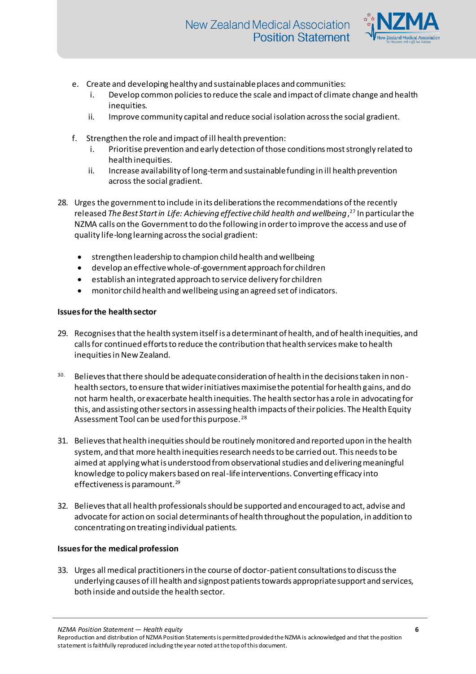

- e. Create and developing healthy and sustainable places and communities:
	- i. Develop common policies to reduce the scale and impact of climate change and health inequities.
	- ii. Improve community capital and reduce social isolation across the social gradient.
- f. Strengthen the role and impact of ill health prevention:
	- i. Prioritise prevention and early detection of those conditions most strongly related to health inequities.
	- ii. Increase availability of long-term and sustainable funding in ill health prevention across the social gradient.
- 28. Urges the government to include in its deliberations the recommendations of the recently released *The Best Start in Life: Achieving effective child health and wellbeing*, <sup>27</sup> In particular the NZMA calls on the Government to do the following in order to improve the access and use of quality life-long learning across the social gradient:
	- strengthen leadership to champion child health and wellbeing
	- develop an effective whole-of-government approach for children
	- establish an integrated approach to service delivery for children
	- monitor child health and wellbeing using an agreed set of indicators.

## **Issues for the health sector**

- 29. Recognises that the health system itself is a determinant of health, and of health inequities, and calls for continued efforts to reduce the contribution that health services make to health inequities in New Zealand.
- <sup>30.</sup> Believes that there should be adequate consideration of health in the decisions taken in nonhealth sectors, to ensure that wider initiatives maximise the potential for health gains, and do not harm health, or exacerbate health inequities. The health sector has a role in advocating for this, and assisting other sectors in assessing health impacts of their policies. The Health Equity Assessment Tool can be used for this purpose.<sup>28</sup>
- 31. Believes that health inequities should be routinely monitored and reported upon in the health system, and that more health inequities research needs to be carried out. This needs to be aimed at applying what is understood from observational studies and delivering meaningful knowledge to policy makers based on real-life interventions. Converting efficacy into effectiveness is paramount.<sup>29</sup>
- 32. Believes that all health professionals should be supported and encouraged to act, advise and advocate for action on social determinants of health throughout the population, in addition to concentrating on treating individual patients.

#### **Issues for the medical profession**

33. Urges all medical practitioners in the course of doctor-patient consultations to discuss the underlying causes of ill health and signpost patients towards appropriate support and services, both inside and outside the health sector.

*NZMA Position Statement — Health equity* **6**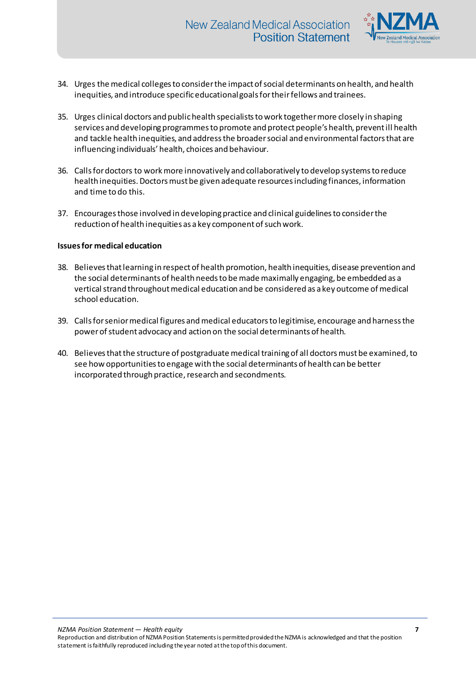

- 34. Urges the medical colleges to consider the impact of social determinants on health, and health inequities, and introduce specific educational goals for their fellows and trainees.
- 35. Urges clinical doctors and public health specialists to work together more closely in shaping services and developing programmes to promote and protect people's health, prevent ill health and tackle health inequities, and address the broader social and environmental factors that are influencing individuals' health, choices and behaviour.
- 36. Calls for doctors to work more innovatively and collaboratively to develop systems to reduce health inequities. Doctors must be given adequate resources including finances, information and time to do this.
- 37. Encourages those involved in developing practice and clinical guidelines to consider the reduction of health inequities as a key component of such work.

#### **Issues for medical education**

- 38. Believes that learning in respect of health promotion, health inequities, disease prevention and the social determinants of health needs to be made maximally engaging, be embedded as a vertical strand throughout medical education and be considered as a key outcome of medical school education.
- 39. Calls for senior medical figures and medical educators to legitimise, encourage and harness the power of student advocacy and action on the social determinants of health.
- 40. Believes that the structure of postgraduate medical training of all doctors must be examined, to see how opportunities to engage with the social determinants of health can be better incorporated through practice, research and secondments.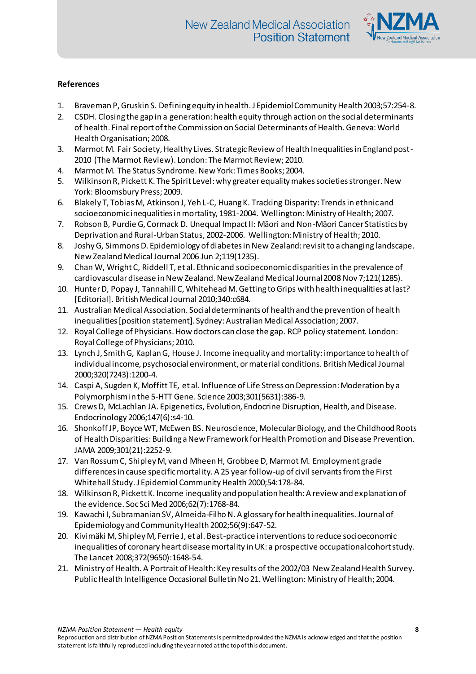

## **References**

- 1. Braveman P, Gruskin S. Defining equity in health. J Epidemiol Community Health 2003;57:254-8.
- 2. CSDH. Closing the gap in a generation: health equity through action on the social determinants of health. Final report of the Commission on Social Determinants of Health. Geneva: World Health Organisation; 2008.
- 3. Marmot M. Fair Society, Healthy Lives. Strategic Review of Health Inequalities in England post-2010 (The Marmot Review). London: The Marmot Review; 2010.
- 4. Marmot M. The Status Syndrome. New York: Times Books; 2004.
- 5. Wilkinson R, Pickett K. The Spirit Level: why greater equality makes societies stronger. New York: Bloomsbury Press; 2009.
- 6. Blakely T, Tobias M, Atkinson J, Yeh L-C, Huang K. Tracking Disparity: Trends in ethnic and socioeconomic inequalities in mortality, 1981-2004. Wellington: Ministry of Health; 2007.
- 7. Robson B, Purdie G, Cormack D. Unequal Impact II: Māori and Non-Māori Cancer Statistics by Deprivation and Rural-Urban Status, 2002-2006. Wellington: Ministry of Health; 2010.
- 8. Joshy G, Simmons D. Epidemiology of diabetes in New Zealand: revisit to a changing landscape. New Zealand Medical Journal 2006 Jun 2;119(1235).
- 9. Chan W, Wright C, Riddell T, et al. Ethnic and socioeconomic disparities in the prevalence of cardiovascular disease in New Zealand. New Zealand Medical Journal 2008 Nov 7;121(1285).
- 10. Hunter D, Popay J, Tannahill C, Whitehead M. Getting to Grips with health inequalities at last? [Editorial]. British Medical Journal 2010;340:c684.
- 11. Australian Medical Association. Social determinants of health and the prevention of health inequalities [position statement]. Sydney: Australian Medical Association; 2007.
- 12. Royal College of Physicians. How doctors can close the gap. RCP policy statement. London: Royal College of Physicians; 2010.
- 13. Lynch J, Smith G, Kaplan G, House J. Income inequality and mortality: importance to health of individual income, psychosocial environment, or material conditions. British Medical Journal 2000;320(7243):1200-4.
- 14. Caspi A, Sugden K, Moffitt TE, et al. Influence of Life Stress on Depression: Moderation by a Polymorphism in the 5-HTT Gene. Science 2003;301(5631):386-9.
- 15. Crews D, McLachlan JA. Epigenetics, Evolution, Endocrine Disruption, Health, and Disease. Endocrinology 2006;147(6):s4-10.
- 16. Shonkoff JP, Boyce WT, McEwen BS. Neuroscience, Molecular Biology, and the Childhood Roots of Health Disparities: Building a New Framework for Health Promotion and Disease Prevention. JAMA 2009;301(21):2252-9.
- 17. Van Rossum C, Shipley M, van d Mheen H, Grobbee D, Marmot M. Employment grade differences in cause specific mortality. A 25 year follow-up of civil servants from the First Whitehall Study. J Epidemiol Community Health 2000;54:178-84.
- 18. Wilkinson R, Pickett K. Income inequality and population health: A review and explanation of the evidence. Soc Sci Med 2006;62(7):1768-84.
- 19. Kawachi I, Subramanian SV, Almeida-Filho N. A glossary for health inequalities. Journal of Epidemiology and Community Health 2002;56(9):647-52.
- 20. Kivimäki M, Shipley M, Ferrie J, et al. Best-practice interventions to reduce socioeconomic inequalities of coronary heart disease mortality in UK: a prospective occupational cohort study. The Lancet 2008;372(9650):1648-54.
- 21. Ministry of Health. A Portrait of Health: Key results of the 2002/03 New Zealand Health Survey. Public Health Intelligence Occasional Bulletin No 21. Wellington: Ministry of Health; 2004.

*NZMA Position Statement — Health equity* **8**